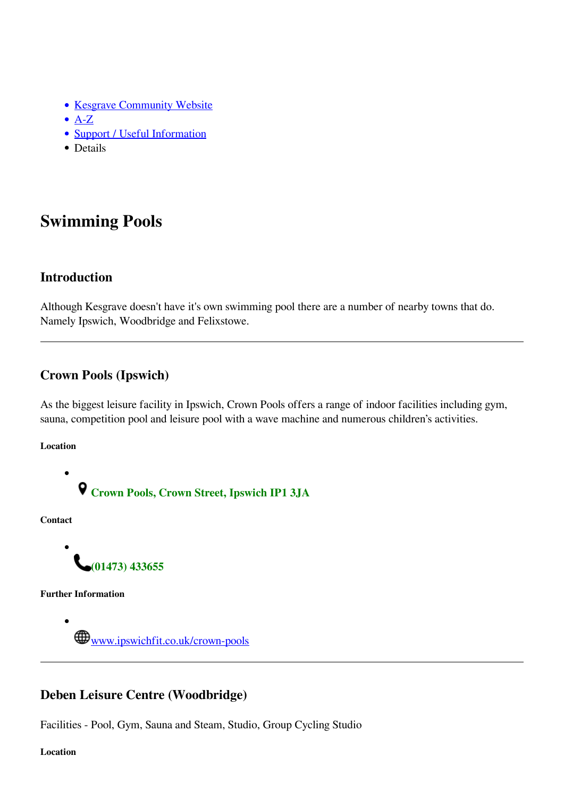- [Kesgrave Community Website](https://www.kesgrave.org.uk/kcw-home.html)
- $\bullet$  [A-Z](https://www.kesgrave.org.uk/kcw-a-z-info-link.html)
- [Support / Useful Information](https://www.kesgrave.org.uk/kcw-support.html)
- Details

# **Swimming Pools**

#### **Introduction**

Although Kesgrave doesn't have it's own swimming pool there are a number of nearby towns that do. Namely Ipswich, Woodbridge and Felixstowe.

### **Crown Pools (Ipswich)**

As the biggest leisure facility in Ipswich, Crown Pools offers a range of indoor facilities including gym, sauna, competition pool and leisure pool with a wave machine and numerous children's activities.

#### **Location**

 $\bullet$ 

**Crown Pools, Crown Street, Ipswich IP1 3JA**

**Contact**



**Further Information**

 $\bullet$ **WWW.ipswichfit.co.uk/crown-pools** 

## **Deben Leisure Centre (Woodbridge)**

Facilities - Pool, Gym, Sauna and Steam, Studio, Group Cycling Studio

**Location**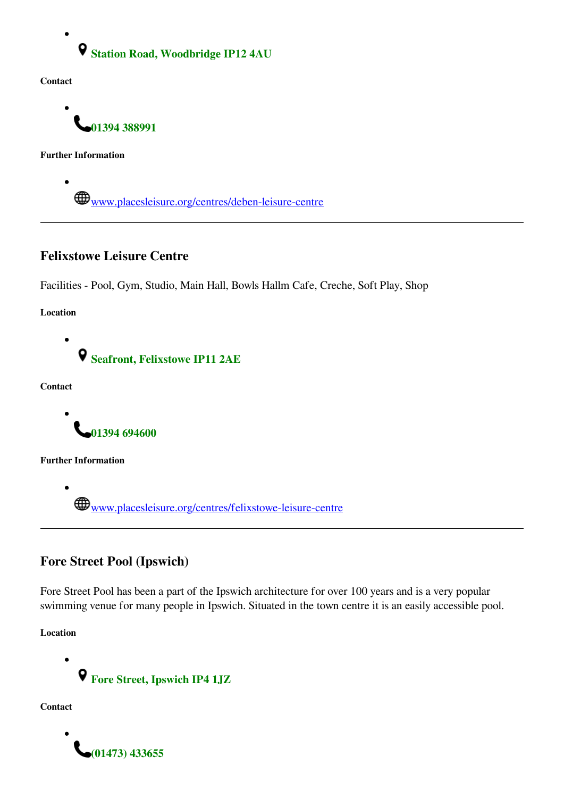**Station Road, Woodbridge IP12 4AU**

**Contact**

 $\bullet$ 

**01394 388991**

**Further Information**

 $\bullet$ 

Www.placesleisure.org/centres/deben-leisure-centre

### **Felixstowe Leisure Centre**

Facilities - Pool, Gym, Studio, Main Hall, Bowls Hallm Cafe, Creche, Soft Play, Shop

**Location**



**Contact**

**01394 694600**

**Further Information**

Www.placesleisure.org/centres/felixstowe-leisure-centre

# **Fore Street Pool (Ipswich)**

Fore Street Pool has been a part of the Ipswich architecture for over 100 years and is a very popular swimming venue for many people in Ipswich. Situated in the town centre it is an easily accessible pool.

**Location**

**Fore Street, Ipswich IP4 1JZ**

**Contact**